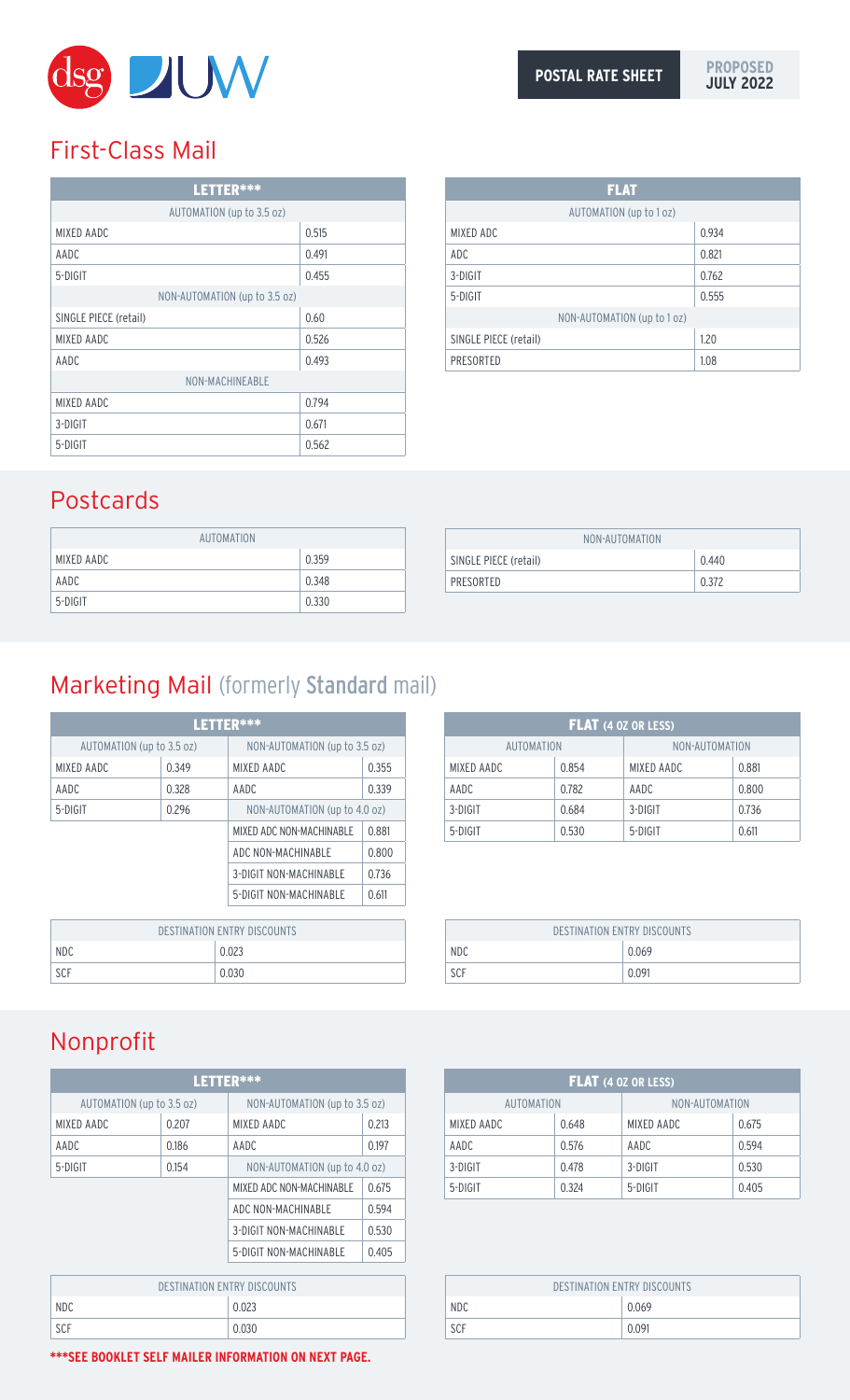

# First-Class Mail

| LETTER***                     |       |  |
|-------------------------------|-------|--|
| AUTOMATION (up to 3.5 oz)     |       |  |
| MIXED AADC                    | 0.515 |  |
| AADC                          | 0.491 |  |
| 5-DIGIT                       | 0.455 |  |
| NON-AUTOMATION (up to 3.5 oz) |       |  |
| SINGLE PIECE (retail)         | 0.60  |  |
| MIXED AADC                    | 0.526 |  |
| AADC                          | 0.493 |  |
| NON-MACHINEABLE               |       |  |
| MIXED AADC                    | 0.794 |  |
| 3-DIGIT                       | 0.671 |  |
| 5-DIGIT                       | 0.562 |  |

| <b>FLAT</b>                 |       |  |
|-----------------------------|-------|--|
| AUTOMATION (up to 1 oz)     |       |  |
| MIXED ADC                   | 0.934 |  |
| ADC                         | 0.821 |  |
| 3-DIGIT                     | 0.762 |  |
| 5-DIGIT                     | 0.555 |  |
| NON-AUTOMATION (up to 1 oz) |       |  |
| SINGLE PIECE (retail)       | 1.20  |  |
| PRESORTED                   | 1.08  |  |

# Postcards

| AUTOMATION |       |
|------------|-------|
| MIXED AADC | 0.359 |
| AADC       | 0.348 |
| 5-DIGIT    | 0.330 |

| NON-AUTOMATION        |       |
|-----------------------|-------|
| SINGLE PIECE (retail) | 0.440 |
| PRESORTED             | 0.372 |

# Marketing Mail (formerly Standard mail)

| LETTER***                          |       |                               |       |
|------------------------------------|-------|-------------------------------|-------|
| AUTOMATION (up to 3.5 oz)          |       | NON-AUTOMATION (up to 3.5 oz) |       |
| MIXED AADC                         | 0.349 | MIXED AADC                    | 0.355 |
| AADC                               | 0.328 | AADC                          | 0.339 |
| 5-DIGIT                            | 0.296 | NON-AUTOMATION (up to 4.0 oz) |       |
|                                    |       | MIXED ADC NON-MACHINABLE      | 0.881 |
|                                    |       | ADC NON-MACHINABLE            | 0.800 |
|                                    |       | 3-DIGIT NON-MACHINABLE        | 0.736 |
|                                    |       | 5-DIGIT NON-MACHINABLE        | 0.611 |
|                                    |       |                               |       |
| <b>DESTINATION ENTRY DISCOUNTS</b> |       |                               |       |
| NDC                                | 0.023 |                               |       |
| SCF                                | 0.030 |                               |       |

| DESTINATION ENTRY DISCOUNTS |       |  |
|-----------------------------|-------|--|
| <b>NDC</b>                  | 0.023 |  |
| SCF                         | 0.030 |  |
|                             |       |  |

# Nonprofit

| LETTER***                          |       |                               |       |
|------------------------------------|-------|-------------------------------|-------|
| AUTOMATION (up to 3.5 oz)          |       | NON-AUTOMATION (up to 3.5 oz) |       |
| <b>MIXED AADC</b>                  | 0.207 | <b>MIXED AADC</b>             | 0.213 |
| AADC                               | 0.186 | AADC                          | 0.197 |
| 5-DIGIT<br>0.154                   |       | NON-AUTOMATION (up to 4.0 oz) |       |
|                                    |       | MIXED ADC NON-MACHINABLE      | 0.675 |
|                                    |       | ADC NON-MACHINABLE            | 0.594 |
|                                    |       | <b>3-DIGIT NON-MACHINABLE</b> | 0.530 |
|                                    |       | 5-DIGIT NON-MACHINABLE        | 0.405 |
|                                    |       |                               |       |
| <b>DESTINATION ENTRY DISCOUNTS</b> |       |                               |       |
| NDC                                |       | 0.023                         |       |

| ION-MACHINABLE | 0.405 |
|----------------|-------|
|                |       |
| <b>JUNTS</b>   |       |
|                |       |

| <b>FLAT</b> (4 OZ OR LESS) |       |                |       |
|----------------------------|-------|----------------|-------|
| AUTOMATION                 |       | NON-AUTOMATION |       |
| MIXED AADC<br>0.854        |       | MIXED AADC     | 0.881 |
| AADC                       | 0.782 | AADC           | 0.800 |
| 3-DIGIT                    | 0.684 | 3-DIGIT        | 0.736 |
| 5-DIGIT                    | 0.530 | 5-DIGIT        | 0.611 |

| <b>DESTINATION ENTRY DISCOUNTS</b> |       |  |
|------------------------------------|-------|--|
| NDC                                | 0.069 |  |
| SCF<br>0.091                       |       |  |

| <b>FLAT</b> (4 OZ OR LESS) |       |                |       |
|----------------------------|-------|----------------|-------|
| <b>AUTOMATION</b>          |       | NON-AUTOMATION |       |
| MIXED AADC<br>0.648        |       | MIXED AADC     | 0.675 |
| AADC                       | 0.576 | AADC           | 0.594 |
| 3-DIGIT                    | 0.478 | 3-DIGIT        | 0.530 |
| 5-DIGIT                    | 0.324 | 5-DIGIT        | 0.405 |

| DESTINATION ENTRY DISCOUNTS |       |  |
|-----------------------------|-------|--|
| <b>NDC</b>                  | 0.069 |  |
| SCF                         | 0.091 |  |

**\*\*\*SEE BOOKLET SELF MAILER INFORMATION ON NEXT PAGE.**

SCF 0.030